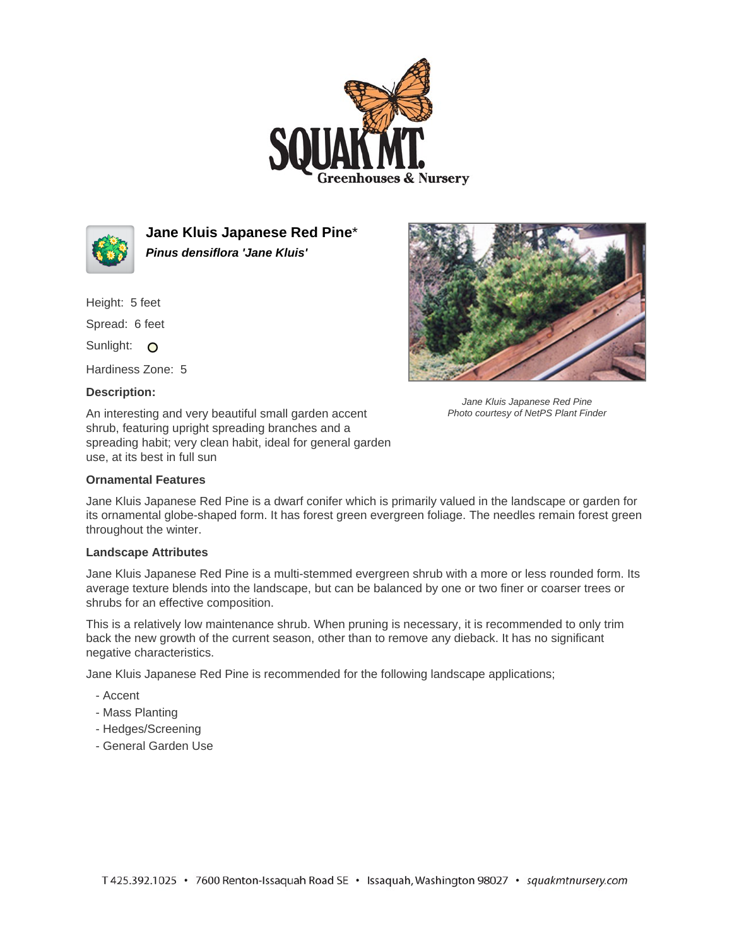



**Jane Kluis Japanese Red Pine**\* **Pinus densiflora 'Jane Kluis'**

Height: 5 feet

Spread: 6 feet

Sunlight: O

Hardiness Zone: 5

## **Description:**

An interesting and very beautiful small garden accent shrub, featuring upright spreading branches and a spreading habit; very clean habit, ideal for general garden use, at its best in full sun

## **Ornamental Features**

Jane Kluis Japanese Red Pine is a dwarf conifer which is primarily valued in the landscape or garden for its ornamental globe-shaped form. It has forest green evergreen foliage. The needles remain forest green throughout the winter.

## **Landscape Attributes**

Jane Kluis Japanese Red Pine is a multi-stemmed evergreen shrub with a more or less rounded form. Its average texture blends into the landscape, but can be balanced by one or two finer or coarser trees or shrubs for an effective composition.

This is a relatively low maintenance shrub. When pruning is necessary, it is recommended to only trim back the new growth of the current season, other than to remove any dieback. It has no significant negative characteristics.

Jane Kluis Japanese Red Pine is recommended for the following landscape applications;

- Accent
- Mass Planting
- Hedges/Screening
- General Garden Use



Jane Kluis Japanese Red Pine Photo courtesy of NetPS Plant Finder